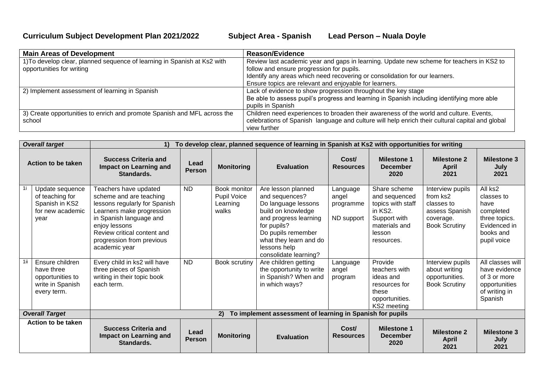| <b>Main Areas of Development</b>                                         | <b>Reason/Evidence</b>                                                                          |
|--------------------------------------------------------------------------|-------------------------------------------------------------------------------------------------|
| 1) To develop clear, planned sequence of learning in Spanish at Ks2 with | Review last academic year and gaps in learning. Update new scheme for teachers in KS2 to        |
| opportunities for writing                                                | follow and ensure progression for pupils.                                                       |
|                                                                          | Identify any areas which need recovering or consolidation for our learners.                     |
|                                                                          | Ensure topics are relevant and enjoyable for learners.                                          |
| 2) Implement assessment of learning in Spanish                           | Lack of evidence to show progression throughout the key stage                                   |
|                                                                          | Be able to assess pupil's progress and learning in Spanish including identifying more able      |
|                                                                          | pupils in Spanish                                                                               |
| 3) Create opportunities to enrich and promote Spanish and MFL across the | Children need experiences to broaden their awareness of the world and culture. Events,          |
| school                                                                   | celebrations of Spanish language and culture will help enrich their cultural capital and global |
|                                                                          | view further                                                                                    |

|                       | <b>Overall target</b>                                                                | To develop clear, planned sequence of learning in Spanish at Ks2 with opportunities for writing<br>$\mathbf{1}$                                                                                                                         |                       |                                                  |                                                                                                                                                                                                                    |                                              |                                                                                                                        |                                                                                                   |                                                                                                         |
|-----------------------|--------------------------------------------------------------------------------------|-----------------------------------------------------------------------------------------------------------------------------------------------------------------------------------------------------------------------------------------|-----------------------|--------------------------------------------------|--------------------------------------------------------------------------------------------------------------------------------------------------------------------------------------------------------------------|----------------------------------------------|------------------------------------------------------------------------------------------------------------------------|---------------------------------------------------------------------------------------------------|---------------------------------------------------------------------------------------------------------|
|                       | Action to be taken                                                                   | <b>Success Criteria and</b><br>Impact on Learning and<br>Standards.                                                                                                                                                                     | Lead<br><b>Person</b> | <b>Monitoring</b>                                | <b>Evaluation</b>                                                                                                                                                                                                  | Cost/<br><b>Resources</b>                    | <b>Milestone 1</b><br><b>December</b><br>2020                                                                          | <b>Milestone 2</b><br><b>April</b><br>2021                                                        | <b>Milestone 3</b><br>July<br>2021                                                                      |
| 1i.                   | Update sequence<br>of teaching for<br>Spanish in KS2<br>for new academic<br>year     | Teachers have updated<br>scheme and are teaching<br>lessons regularly for Spanish<br>Learners make progression<br>in Spanish language and<br>enjoy lessons<br>Review critical content and<br>progression from previous<br>academic year | <b>ND</b>             | Book monitor<br>Pupil Voice<br>Learning<br>walks | Are lesson planned<br>and sequences?<br>Do language lessons<br>build on knowledge<br>and progress learning<br>for pupils?<br>Do pupils remember<br>what they learn and do<br>lessons help<br>consolidate learning? | Language<br>angel<br>programme<br>ND support | Share scheme<br>and sequenced<br>topics with staff<br>in KS2.<br>Support with<br>materials and<br>lesson<br>resources. | Interview pupils<br>from ks2<br>classes to<br>assess Spanish<br>coverage.<br><b>Book Scrutiny</b> | All ks2<br>classes to<br>have<br>completed<br>three topics.<br>Evidenced in<br>books and<br>pupil voice |
| 1ii                   | Ensure children<br>have three<br>opportunities to<br>write in Spanish<br>every term. | Every child in ks2 will have<br>three pieces of Spanish<br>writing in their topic book<br>each term.                                                                                                                                    | <b>ND</b>             | Book scrutiny                                    | Are children getting<br>the opportunity to write<br>in Spanish? When and<br>in which ways?                                                                                                                         | Language<br>angel<br>program                 | Provide<br>teachers with<br>ideas and<br>resources for<br>these<br>opportunities.<br>KS2 meeting                       | Interview pupils<br>about writing<br>opportunities.<br><b>Book Scrutiny</b>                       | All classes will<br>have evidence<br>of 3 or more<br>opportunities<br>of writing in<br>Spanish          |
| <b>Overall Target</b> |                                                                                      | To implement assessment of learning in Spanish for pupils<br>2)                                                                                                                                                                         |                       |                                                  |                                                                                                                                                                                                                    |                                              |                                                                                                                        |                                                                                                   |                                                                                                         |
|                       | Action to be taken                                                                   | <b>Success Criteria and</b><br>Impact on Learning and<br>Standards.                                                                                                                                                                     | Lead<br><b>Person</b> | <b>Monitoring</b>                                | <b>Evaluation</b>                                                                                                                                                                                                  | Cost/<br><b>Resources</b>                    | <b>Milestone 1</b><br><b>December</b><br>2020                                                                          | <b>Milestone 2</b><br><b>April</b><br>2021                                                        | <b>Milestone 3</b><br>July<br>2021                                                                      |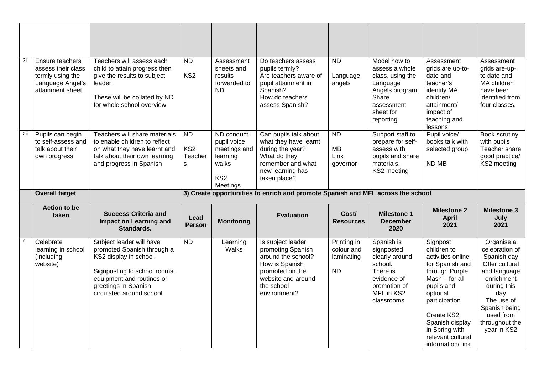| 2i  | Ensure teachers<br>assess their class<br>termly using the<br>Language Angel's<br>attainment sheet. | Teachers will assess each<br>child to attain progress then<br>give the results to subject<br>leader.<br>These will be collated by ND<br>for whole school overview | <b>ND</b><br>KS <sub>2</sub>                           | Assessment<br>sheets and<br>results<br>forwarded to<br>ND                                     | Do teachers assess<br>pupils termly?<br>Are teachers aware of<br>pupil attainment in<br>Spanish?<br>How do teachers<br>assess Spanish?      | <b>ND</b><br>Language<br>angels            | Model how to<br>assess a whole<br>class, using the<br>Language<br>Angels program.<br>Share<br>assessment<br>sheet for<br>reporting | Assessment<br>grids are up-to-<br>date and<br>teacher's<br>identify MA<br>children/<br>attainment/<br>impact of<br>teaching and<br>lessons | Assessment<br>grids are-up-<br>to date and<br>MA children<br>have been<br>identified from<br>four classes. |
|-----|----------------------------------------------------------------------------------------------------|-------------------------------------------------------------------------------------------------------------------------------------------------------------------|--------------------------------------------------------|-----------------------------------------------------------------------------------------------|---------------------------------------------------------------------------------------------------------------------------------------------|--------------------------------------------|------------------------------------------------------------------------------------------------------------------------------------|--------------------------------------------------------------------------------------------------------------------------------------------|------------------------------------------------------------------------------------------------------------|
| 2ii | Pupils can begin<br>to self-assess and<br>talk about their<br>own progress                         | Teachers will share materials<br>to enable children to reflect<br>on what they have learnt and<br>talk about their own learning<br>and progress in Spanish        | <b>ND</b><br>KS <sub>2</sub><br>Teacher<br>$\mathbf S$ | ND conduct<br>pupil voice<br>meetings and<br>learning<br>walks<br>KS <sub>2</sub><br>Meetings | Can pupils talk about<br>what they have learnt<br>during the year?<br>What do they<br>remember and what<br>new learning has<br>taken place? | <b>ND</b><br><b>MB</b><br>Link<br>governor | Support staff to<br>prepare for self-<br>assess with<br>pupils and share<br>materials.<br>KS2 meeting                              | Pupil voice/<br>books talk with<br>selected group<br>ND MB                                                                                 | Book scrutiny<br>with pupils<br>Teacher share<br>good practice/<br>KS2 meeting                             |
|     |                                                                                                    |                                                                                                                                                                   |                                                        |                                                                                               |                                                                                                                                             |                                            |                                                                                                                                    |                                                                                                                                            |                                                                                                            |
|     | <b>Overall target</b>                                                                              |                                                                                                                                                                   |                                                        |                                                                                               | 3) Create opportunities to enrich and promote Spanish and MFL across the school                                                             |                                            |                                                                                                                                    |                                                                                                                                            |                                                                                                            |
|     | <b>Action to be</b><br>taken                                                                       | <b>Success Criteria and</b><br><b>Impact on Learning and</b><br>Standards.                                                                                        | Lead<br><b>Person</b>                                  | <b>Monitoring</b>                                                                             | <b>Evaluation</b>                                                                                                                           | Cost/<br><b>Resources</b>                  | <b>Milestone 1</b><br><b>December</b><br>2020                                                                                      | <b>Milestone 2</b><br><b>April</b><br>2021                                                                                                 | <b>Milestone 3</b><br>July<br>2021                                                                         |